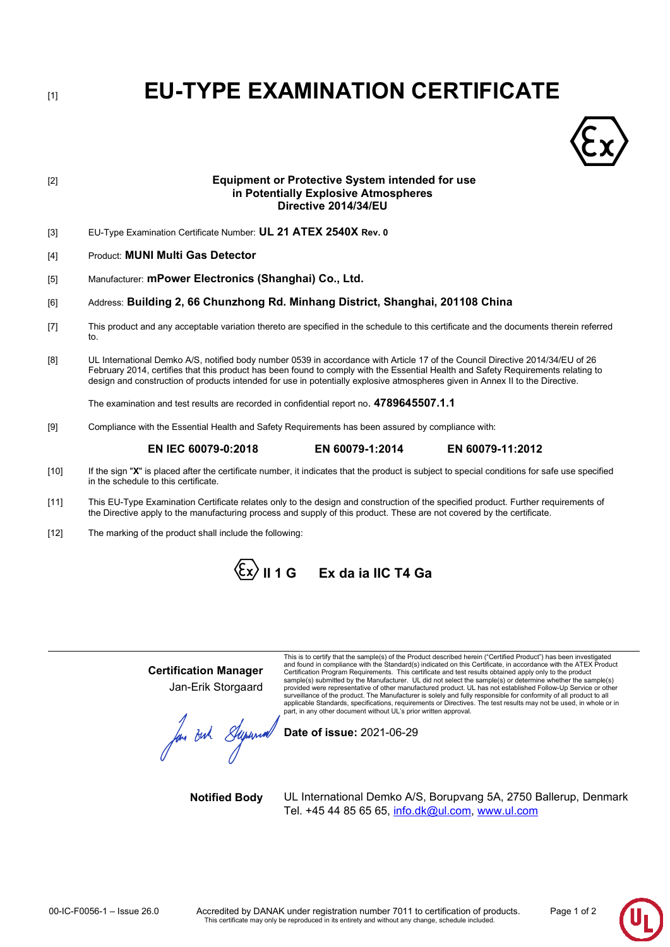# [1] **EU-TYPE EXAMINATION CERTIFICATE**



# [2] **Equipment or Protective System intended for use in Potentially Explosive Atmospheres Directive 2014/34/EU**

- [3] EU-Type Examination Certificate Number: **UL 21 ATEX 2540X Rev. 0**
- [4] Product: **MUNI Multi Gas Detector**
- [5] Manufacturer: **mPower Electronics (Shanghai) Co., Ltd.**

# [6] Address: **Building 2, 66 Chunzhong Rd. Minhang District, Shanghai, 201108 China**

- [7] This product and any acceptable variation thereto are specified in the schedule to this certificate and the documents therein referred to.
- [8] UL International Demko A/S, notified body number 0539 in accordance with Article 17 of the Council Directive 2014/34/EU of 26 February 2014, certifies that this product has been found to comply with the Essential Health and Safety Requirements relating to design and construction of products intended for use in potentially explosive atmospheres given in Annex II to the Directive.

The examination and test results are recorded in confidential report no. **4789645507.1.1**

[9] Compliance with the Essential Health and Safety Requirements has been assured by compliance with:

# **EN IEC 60079-0:2018 EN 60079-1:2014 EN 60079-11:2012**

- [10] If the sign "**X**" is placed after the certificate number, it indicates that the product is subject to special conditions for safe use specified in the schedule to this certificate.
- [11] This EU-Type Examination Certificate relates only to the design and construction of the specified product. Further requirements of the Directive apply to the manufacturing process and supply of this product. These are not covered by the certificate.
- [12] The marking of the product shall include the following:

**II 1 G Ex da ia IIC T4 Ga**

**Certification Manager** Jan-Erik Storgaard

for But Supernal

This is to certify that the sample(s) of the Product described herein ("Certified Product") has been investigated and found in compliance with the Standard(s) indicated on this Certificate, in accordance with the ATEX Producl<br>Certification Program Requirements. This certificate and test results obtained apply only to the product<br>samp provided were representative of other manufactured product. UL has not established Follow-Up Service or other surveillance of the product. The Manufacturer is solely and fully responsible for conformity of all product to all<br>applicable Standards, specifications, requirements or Directives. The test results may not be used, in whol

**Date of issue:** 2021-06-29

**Notified Body** UL International Demko A/S, Borupvang 5A, 2750 Ballerup, Denmark Tel. +45 44 85 65 65, [info.dk@ul.com,](https://ecm.ul.com/otcsdav/nodes/201139628/info.dk%40ul.com) [www.ul.com](http://www.ul.com/)